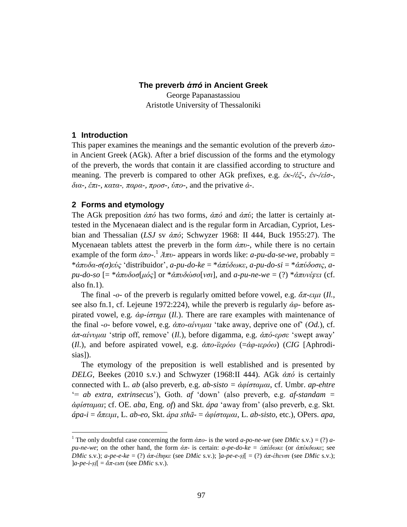### **The preverb** *ἀπό* **in Ancient Greek**

George Papanastassiou Aristotle University of Thessaloniki

### **1 Introduction**

-

This paper examines the meanings and the semantic evolution of the preverb *ἀπν*in Ancient Greek (AGk). After a brief discussion of the forms and the etymology of the preverb, the words that contain it are classified according to structure and meaning. The preverb is compared to other AGk prefixes, e.g. *ἐθ-/ἐμ-, ἐλ-/εἰζ-, δια-, έπι-, κατα-, παρα-, προσ-, ύπο-, and the privative*  $\dot{\alpha}$ *-.* 

### **2 Forms and etymology**

The AGk preposition *ἀπό* has two forms, *ἀπό* and *ἀπύ*; the latter is certainly attested in the Mycenaean dialect and is the regular form in Arcadian, Cypriot, Lesbian and Thessalian (*LSJ* sv *ἀπό*; Schwyzer 1968: II 444, Buck 1955:27). The Mycenaean tablets attest the preverb in the form *, while there is no certain* example of the form  $\dot{\alpha}\pi o$ <sup>-1</sup>  $\dot{\alpha}\pi v$ - appears in words like: *a-pu-da-se-we*, probably = \**ἀππδα-ζ(ζ)εύο* "distribuidor", *a-pu-do-ke* = \**ἀπύδσθε*, *a-pu-do-si* = \**ἀπύδνζηο*, *apu-do-so* [= \**ἀππδνζ*[*κόο*] or \**ἀππδώζν*[*λζη*], and *a-pu-ne-we* = (?) \**ἀππλέϝεη* (cf. also fn.1).

The final -*ν*- of the preverb is regularly omitted before vowel, e.g. *ἄπ-εηκη* (*Il.*, see also fn.1, cf. Lejeune 1972:224), while the preverb is regularly *ἀθ*- before aspirated vowel, e.g. *ἀθ-ίζηεκη* (*Il.*). There are rare examples with maintenance of the final -*ο*- before vowel, e.g. *ἀπο-αίνυμαι* 'take away, deprive one of' (*Od.*), cf. *άπ-αίνυμαι* 'strip off, remove' (*Il.*), before digamma, e.g. *άπό-ερσε* 'swept away' (*Il.*), and before aspirated vowel, e.g. *ἀπν-τεξόσ* (=*ἀθ-ηεξόσ*) (*CIG* [Aphrodisias]).

The etymology of the preposition is well established and is presented by *DELG*, Beekes (2010 s.v.) and Schwyzer (1968:II 444). AGk *ἀπό* is certainly connected with L. *ab* (also preverb, e.g. *ab-sisto = ἀφίσταμαι*, cf. Umbr. *ap-ehtre* "= *ab extra*, *extrinsecus*"), Goth. *af* "down" (also preverb, e.g. *af-standam = ἀθίζηακαη*; cf. OE. *aba*, Eng. *of*) and Skt. *ápa* "away from" (also preverb, e.g. Skt. *ápa-i* = *ἄπεηκη*, L. *ab-eo*, Skt. *ápa sthā-* = *ἀθίζηακαη*, L. *ab-sisto*, etc.), OPers. *apa*,

<sup>&</sup>lt;sup>1</sup> The only doubtful case concerning the form  $\dot{\alpha}\pi$  is the word *a-po-ne-we* (see *DMic* s.v.) = (?) *apu-ne-we*; on the other hand, the form *ἀπ*- is certain: *a-pe-do-ke* = *ἀπέδσθε* (or *ἀπέθδσθε*; see *DMic s.v.); a-pe-e-ke* = (?) *ἀπ-έhηκε* (see *DMic s.v.); ]a-pe-e-ṣi*[ = (?) *ἀπ-έhενσι* (see *DMic s.v.)*;  $|a-pe-i-sj| = \alpha \pi$ -*εισι* (see *DMic* s.v.).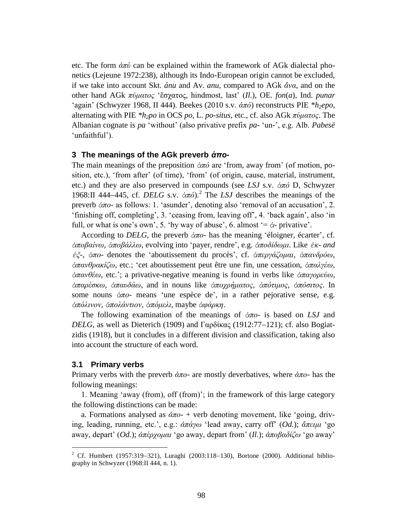etc. The form *ἀπύ* can be explained within the framework of AGk dialectal phonetics (Lejeune 1972:238), although its Indo-European origin cannot be excluded, if we take into account Skt. *ánu* and Av. *anu*, compared to AGk *ἄλα*, and on the other hand AGk *πύκαηνο* "ἔζραηνο, hindmost, last" (*Il.*), OE. *fon*(*a*), Ind. *punar* "again" (Schwyzer 1968, II 444). Beekes (2010 s.v. *ἀπό*) reconstructs PIE *\*h2epo*, alternating with PIE *\*h2po* in OCS *po*, L. *po-situs*, etc., cf. also AGk *πύκαηνο*. The Albanian cognate is *pa* "without" (also privative prefix *pa-* "un-", e.g. Alb. *Pabesë* 'unfaithful').

#### **3 The meanings of the AGk preverb** *ἀπο***-**

The main meanings of the preposition *ἀπό* are "from, away from" (of motion, position, etc.), "from after" (of time), "from" (of origin, cause, material, instrument, etc.) and they are also preserved in compounds (see *LSJ* s.v. *ἀπό* D, Schwyzer 1968:II 444-445, cf. *DELG* s.v.  $\dot{\alpha}\pi\dot{\theta}$ ).<sup>2</sup> The *LSJ* describes the meanings of the preverb *ἀπν*- as follows: 1. "asunder", denoting also "removal of an accusation", 2. "finishing off, completing", 3. "ceasing from, leaving off", 4. "back again", also "in full, or what is one's own', 5. 'by way of abuse', 6. almost  $= \dot{\alpha}$ - privative'.

According to *DELG*, the preverb *ἀπν*- has the meaning "éloigner, écarter", cf. *ἀπνβαίλσ, ἀπνβάιισ*, evolving into "payer, rendre", e.g. *ἀπνδίδσκη*. Like *ἐθ- and ἐζ-, ἀπο-* denotes the 'aboutissement du procès', cf. <del>ἀπεργάζομαι, ἀπανδρό</del>ω, *ἀπαλζξαθίδσ*, etc.; "cet aboutissement peut être une fin, une cessation, *ἀπαιγέσ, ἀπαλζέσ*, etc."; a privative-negative meaning is found in verbs like *ἀπαγνξεύσ*, *ἀπαξέζθσ, ἀπαπδάσ*, and in nouns like *ἀπνρξήκαηνο, ἀπόηηκνο, ἀπόζηηνο*. In some nouns *ἀπν*- means "une espèce de", in a rather pejorative sense, e.g. *ἀπόιηλνλ, ἀπνιάληηνλ, ἀπόκειη*, maybe *ἀθάξθε*.

The following examination of the meanings of *ἀπν*- is based on *LSJ* and *DELG*, as well as Dieterich (1909) and Γαρδίκας (1912:77–121); cf. also Bogiatzidis (1918), but it concludes in a different division and classification, taking also into account the structure of each word.

#### **3.1 Primary verbs**

<u>.</u>

Primary verbs with the preverb *ἀπν*- are mostly deverbatives, where *ἀπν*- has the following meanings:

1. Meaning "away (from), off (from)"; in the framework of this large category the following distinctions can be made:

a. Formations analysed as *ἀπν*- + verb denoting movement, like "going, driving, leading, running, etc.", e.g.: *ἀπάγσ* "lead away, carry off" (*Od.*); *ἄπεηκη* "go away, depart' (*Od.*);  $\alpha \pi \epsilon \rho \gamma \rho \mu \alpha \iota$  'go away, depart from' (*Il.*);  $\alpha \pi \rho \beta \alpha \delta \iota \zeta \omega$  'go away'

<sup>&</sup>lt;sup>2</sup> Cf. Humbert (1957:319-321), Luraghi (2003:118-130), Bortone (2000). Additional bibliography in Schwyzer (1968:II 444, n. 1).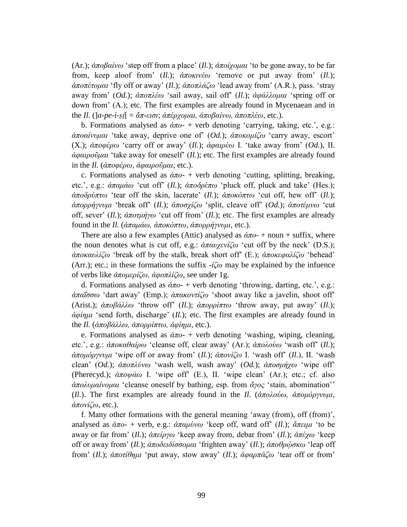(Ar.);  $\dot{\alpha}\pi\partial\beta\alpha\dot{\alpha}\omega$  'step off from a place' (*Il.*);  $\dot{\alpha}\pi\partial\dot{\alpha}\rho\mu\alpha\dot{\alpha}$  'to be gone away, to be far from, keep aloof from'  $(I_l)$ ;  $\dot{\alpha}$ *ποκινέω* 'remove or put away from'  $(I_l)$ ; *ἀπνπέηνκαη* "fly off or away" (*Il.*); *ἀπνπιάδσ* "lead away from" (A.R.), pass. "stray away from" (*Od.*); *ἀπνπιέσ* "sail away, sail off" (*Il.*); *ἀθάιινκαη* "spring off or down from" (A.); etc. The first examples are already found in Mycenaean and in the *Il.* ( $[a$ -*pe-i-si*[ =  $\tilde{a}\pi$ -εισι;  $\tilde{a}\pi\tilde{e}$ ργομαι,  $\tilde{a}\pi\tilde{o}$ βαίνω,  $\tilde{a}\pi\tilde{o}\pi\lambda\tilde{\epsilon}\omega$ , etc.).

b. Formations analysed as  $\dot{a}\pi o$ - + verb denoting 'carrying, taking, etc.', e.g.:  $$ (X.); *ἀπνθέξσ* "carry off or away" (*Il.*); *ἀθαηξέσ* I. "take away from" (*Od.*), II. *ἀθαηξνῦκαη* "take away for oneself" (*Il.*); etc. The first examples are already found in the *Il.* (*ἀπνθέξσ, ἀθαηξνῦκαη*, etc.).

c. Formations analysed as *ἀπν*- + verb denoting "cutting, splitting, breaking, etc.', e.g.: *ἀπαμάω* 'cut off' (*Il.*); *ἀποδρέπω* 'pluck off, pluck and take' (Hes.); *ἀπνδξύπησ* "tear off the skin, lacerate" (*Il.*); *ἀπνθόπησ* "cut off, hew off" (*Il.*); *ἀπνξξήγλπκη* "break off" (*Il.*); *ἀπνζρίδσ* "split, cleave off" (*Od.*); *ἀπνηέκλσ* "cut off, sever" (*Il.*); *ἀπνηκήγσ* "cut off from" (*Il.*); etc. The first examples are already found in the *Il.* (*ἀπακάσ, ἀπνθόπησ, ἀπνξξήγλπκη*, etc.).

There are also a few examples (Attic) analysed as  $\dot{\alpha}\pi o$ - + noun + suffix, where the noun denotes what is cut off, e.g.:  $\frac{\partial \pi}{\partial y}$  (cut off by the neck' (D.S.);  $\alpha \pi \alpha \nu \lambda i \zeta \omega$  'break off by the stalk, break short off' (E.);  $\alpha \pi \alpha \kappa \epsilon \varphi \alpha \lambda i \zeta \omega$  'behead' (Arr.); etc.; in these formations the suffix  $-i\zeta\omega$  may be explained by the infuence of verbs like *ἀπνκεξίδσ, ἀθνπιίδσ*, see under 1g.

d. Formations analysed as *ἀπν*- + verb denoting "throwing, darting, etc.", e.g.:  $απα$ ΐσσω 'dart away' (Emp.);  $απακοντίζω 'shoot away like a javelin, shoot off'$ (Arist.);  $\alpha \pi \partial \beta \alpha \lambda \partial \omega$  'throw off' (*Il.*);  $\alpha \pi \partial \rho \partial \beta \pi \tau \omega$  'throw away, put away' (*Il.*); *ἀθίεκη* "send forth, discharge" (*Il.*); etc. The first examples are already found in the *Il.* (*ἀποβάλλω, ἀπορρίπτω, ἀφίημι*, etc.).

e. Formations analysed as  $\dot{a}\pi o$ - + verb denoting 'washing, wiping, cleaning, etc.', e.g.:  $\alpha \pi \alpha \alpha \theta \alpha \alpha \rho \omega$  'cleanse off, clear away' (Ar.);  $\alpha \pi \alpha \lambda \omega \omega \omega$  'wash off' (*Il.*); *ἀπνκόξγλπκη* "wipe off or away from" (*Il.*); *ἀπνλίδσ* I. "wash off" (*Il.*), II. "wash clean' (Od.);  $\alpha \pi \partial x$ ύνω 'wash well, wash away' (Od.);  $\alpha \pi \partial \phi$  'wipe off' (Pherecyd.);  $\alpha \pi \omega \alpha \omega$  I. 'wipe off' (E.), II. 'wipe clean' (Ar.); etc.; cf. also  $$ (*Il.*). The first examples are already found in the *Il.* (*ἀπνινύσ, ἀπνκόξγλπκη,*  $\dot{\alpha}\pi$ *ονίζω*, etc.).

f. Many other formations with the general meaning "away (from), off (from)", analysed as *ἀπν*- + verb, e.g.: *ἀπακύλσ* "keep off, ward off" (*Il.*); *ἄπεηκη* "to be away or far from" (*Il.*); *ἀπείξγσ* "keep away from, debar from" (*Il.*); *ἀπέρσ* "keep off or away from' (*Il.*);  $\alpha \pi \partial \delta \epsilon \partial \delta \sigma \sigma \mu \alpha$  'frighten away' (*Il.*);  $\alpha \pi \partial \rho \phi \sigma \kappa \omega$  'leap off from" (*Il.*); *ἀπνηίζεκη* "put away, stow away" (*Il.*); *ἀθαξπάδσ* "tear off or from"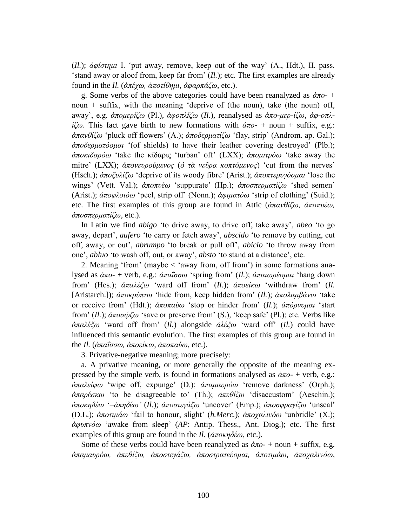(*Il.*); *ἀθίζηεκη* I. "put away, remove, keep out of the way" (A., Hdt.), II. pass. 'stand away or aloof from, keep far from'  $(I_l)$ ; etc. The first examples are already found in the *Il.* (*ἀπέρσ, ἀπνηίζεκη, ἀθαξπάδσ*, etc.).

g. Some verbs of the above categories could have been reanalyzed as *ἀπν*- + noun  $+$  suffix, with the meaning 'deprive of (the noun), take (the noun) off, away", e.g. *ἀπνκεξίδσ* (Pl.), *ἀθνπιίδσ* (*Il.*), reanalysed as *ἀπν-κεξ-ίδσ, ἀθ-νπιίζω*. This fact gave birth to new formations with  $$ *ἀπανθίζω* 'pluck off flowers' (A.); *ἀποδερματίζω* 'flay, strip' (Androm. ap. Gal.); *ἀπνδεξκαηόνκαη* "(of shields) to have their leather covering destroyed" (Plb.);  $\alpha \pi \partial \alpha \partial \phi$  "take the κίδαρις 'turban' off' (LXX);  $\alpha \pi \partial \mu \partial \phi$  'take away the mitre' (LXX); *ἀπονευρούμενος* (*ὁ τὰ νεῦρα κοπτόμενος*) 'cut from the nerves' (Hsch.); *ἀποξυλίζω* 'deprive of its woody fibre' (Arist.); *ἀποπτερυγόομαι* 'lose the wings' (Vett. Val.); *ἀποπυέω* 'suppurate' (Hp.); *ἀποσπερματίζω* 'shed semen' (Arist.);  $\dot{\alpha} \pi \omega \phi \lambda \omega \dot{\omega}$  'peel, strip off' (Nonn.);  $\dot{\alpha} \varphi \mu \alpha \tau \dot{\omega} \omega$  'strip of clothing' (Suid.); etc. The first examples of this group are found in Attic (*ἀπανθίζω, ἀποπυέω*,  $\alpha \pi$ *ρσπερματίζω*, etc.).

In Latin we find *abigo* "to drive away, to drive off, take away", *abeo* "to go away, depart', *aufero* 'to carry or fetch away', *abscido* 'to remove by cutting, cut off, away, or out", *abrumpo* "to break or pull off", *abicio* "to throw away from one", *abluo* "to wash off, out, or away", *absto* "to stand at a distance", etc.

2. Meaning 'from' (maybe  $\leq$  'away from, off from') in some formations analysed as  $\dot{\alpha}\pi$ *ο*- + verb, e.g.:  $\dot{\alpha}\pi$ αΐσσω 'spring from' (*Il.*);  $\dot{\alpha}\pi$ αιωρέομαι 'hang down from" (Hes.); *ἀπαιέμσ* "ward off from" (*Il.*); *ἀπνείθσ* "withdraw from" (*Il.* [Aristarch.]); *ἀπνθξύπησ* "hide from, keep hidden from" (*Il.*); *ἀπνιακβάλσ* "take or receive from' (Hdt.);  $\alpha \pi \alpha \alpha \omega$  'stop or hinder from' (*Il.*);  $\alpha \pi \omega \omega$  'start from" (*Il.*); *ἀπνζῴδσ* "save or preserve from" (S.), "keep safe" (Pl.); etc. Verbs like *ἀπαιέμσ* "ward off from" (*Il.*) alongside *ἀιέμσ* "ward off" (*Il.*) could have influenced this semantic evolution. The first examples of this group are found in the *Il.* (*ἀπαΐσσω, ἀποείκω, ἀποπαύω*, etc.).

3. Privative-negative meaning; more precisely:

a. A privative meaning, or more generally the opposite of the meaning expressed by the simple verb, is found in formations analysed as  $\dot{\alpha}\pi o$  + verb, e.g.: *ἀπαιείθσ* "wipe off, expunge" (D.); *ἀπακαπξόσ* "remove darkness" (Orph.); *άπαρέσκω* 'to be disagreeable to' (Th.); *ἀπεθίζω* 'disaccustom' (Aeschin.);  $\hat{\alpha}$ ποκηδέω '=ἀκηδέω' (*Il.*); ἀποστεγάζω 'uncover' (Emp.); ἀποσφραγίζω 'unseal' (D.L.); *ἀπνηηκάσ* "fail to honour, slight" (*h.Merc.*); *ἀπνραιηλόσ* "unbridle" (X.); *ἀθππλόσ* "awake from sleep" (*AP*: Antip. Thess., Ant. Diog.); etc. The first examples of this group are found in the *Il.* ( $\dot{\alpha}$ ποκηδέω, etc.).

Some of these verbs could have been reanalyzed as *ἀπν*- + noun + suffix, e.g. *ἀπακαπξόσ, ἀπεζίδσ, ἀπνζηεγάδσ, ἀπνζηξαηεύνκαη, ἀπνηηκάσ, ἀπνραιηλόσ,*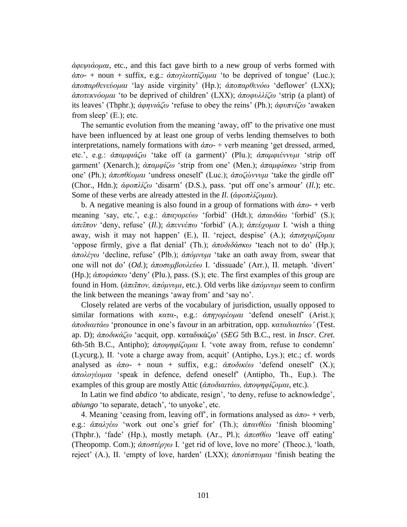*ἀθεςηάνκαη*, etc., and this fact gave birth to a new group of verbs formed with *ἀπν*- + noun + suffix, e.g.: *ἀπνγισηηίδνκαη* "to be deprived of tongue" (Luc.);  $\dot{\alpha}\pi\alpha\alpha\theta\theta\epsilon$ νεύ*ομαι* 'lay aside virginity' (Hp.);  $\dot{\alpha}\pi\alpha\alpha\theta\theta\epsilon$ νόω 'deflower' (LXX); *ἀποτεκνόομαι* 'to be deprived of children' (LXX); *ἀποφυλλίζω* 'strip (a plant) of its leaves' (Thphr.);  $\dot{\alpha}$ *φηνιάζω* 'refuse to obey the reins' (Ph.);  $\dot{\alpha}$ *φυπνίζω* 'awaken from sleep' (E.); etc.

The semantic evolution from the meaning 'away, off' to the privative one must have been influenced by at least one group of verbs lending themselves to both interpretations, namely formations with *ἀπν*- + verb meaning "get dressed, armed, etc.", e.g.: *ἀπακθηάδσ* "take off (a garment)" (Plu.); *ἀπακθηέλλπκη* "strip off garment' (Xenarch.);  $\dot{\alpha} \pi \alpha \mu \varphi i \zeta \omega$  'strip from one' (Men.);  $\dot{\alpha} \pi \alpha \mu \varphi i \sigma \kappa \omega$  'strip from one" (Ph.); *ἀπεζζένκαη* "undress oneself" (Luc.); *ἀπνδώλλπκη* "take the girdle off" (Chor., Hdn.); *ἀθνπιίδσ* "disarm" (D.S.), pass. "put off one"s armour" (*Il.*); etc. Some of these verbs are already attested in the *Il.* (*ἀφοπλίζομαι*).

b. A negative meaning is also found in a group of formations with  $\dot{\alpha}\pi_{0}$  + verb meaning 'say, etc.', e.g.: *ἀπαγορεύω* 'forbid' (Hdt.); *ἀπαυδάω* 'forbid' (S.); *ἀπεῖπνλ* "deny, refuse" (*Il.*); *ἀπελλέπσ* "forbid" (A.); *ἀπεύρνκαη* I. "wish a thing away, wish it may not happen" (E.), II. "reject, despise" (A.); *ἀπηζρπξίδνκαη* "oppose firmly, give a flat denial" (Th.);  $\alpha \pi \partial \delta \alpha \partial \alpha \omega$  'teach not to do' (Hp.); *άπολέγω* 'decline, refuse' (Plb.); *ἀπόμνυμι* 'take an oath away from, swear that one will not do' (*Od.*);  $\alpha \pi$ οσυμβουλεύω I. 'dissuade' (Arr.), II. metaph. 'divert' (Hp.); *ἀπνθάζθσ* "deny" (Plu.), pass. (S.); etc. The first examples of this group are found in Hom. (*ἀπεῖπνλ, ἀπόκλπκη*, etc.). Old verbs like *ἀπόκλπκη* seem to confirm the link between the meanings "away from" and "say no".

Closely related are verbs of the vocabulary of jurisdiction, usually opposed to similar formations with *κατα-*, e.g.: *ἀπηγορέομαι* 'defend oneself' (Arist.); *ἀπνδηαηηάσ* "pronounce in one"s favour in an arbitration, opp. *θαηαδηαηηάσ'* (Test. ap. D);  $\alpha \pi$ οδικάζω 'acquit, opp. καταδικάζω' (*SEG* 5th B.C., rest. in *Inscr. Cret.* 6th-5th B.C., Antipho);  $\alpha \pi \omega \psi \eta \phi i \zeta \omega \omega l$  I. 'vote away from, refuse to condemn' (Lycurg.), II. "vote a charge away from, acquit" (Antipho, Lys.); etc.; cf. words analysed as  $\dot{\alpha}\pi o$ - + noun + suffix, e.g.:  $\dot{\alpha}\pi o\delta u\epsilon \omega$  'defend oneself' (X.); *ἀπνινγένκαη* "speak in defence, defend oneself" (Antipho, Th., Eup.). The examples of this group are mostly Attic (*ἀποδιαιτάω, ἀποψηφίζομαι*, etc.).

In Latin we find *abdico* 'to abdicate, resign', 'to deny, refuse to acknowledge', *abiungo* 'to separate, detach', 'to unyoke', etc.

4. Meaning 'ceasing from, leaving off', in formations analysed as  $\dot{\alpha}\pi o$ - + verb, e.g.:  $\alpha \pi \alpha \lambda$ γέω 'work out one's grief for' (Th.);  $\alpha \pi \alpha \nu \theta$ έω 'finish blooming' (Thphr.), 'fade' (Hp.), mostly metaph. (Ar., Pl.);  $\alpha \pi \epsilon \sigma \theta i \omega$  'leave off eating' (Theopomp. Com.);  $\alpha \pi \circ \sigma \tau \circ \rho$ *yω* I. 'get rid of love, love no more' (Theoc.), 'loath, reject' (A.), II. 'empty of love, harden' (LXX); *ἀποτύπτομαι* 'finish beating the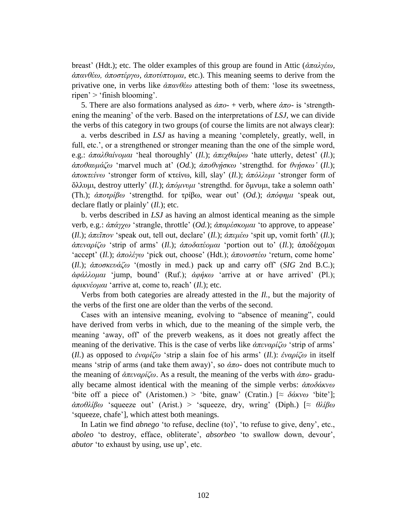breast" (Hdt.); etc. The older examples of this group are found in Attic (*ἀπαιγέσ, ἀπαλζέσ, ἀπνζηέξγσ, ἀπνηύπηνκαη*, etc.). This meaning seems to derive from the privative one, in verbs like *ἀπαλζέσ* attesting both of them: "lose its sweetness, ripen'  $>$  'finish blooming'.

5. There are also formations analysed as *ἀπν*- + verb, where *ἀπν*- is "strengthening the meaning" of the verb. Based on the interpretations of *LSJ*, we can divide the verbs of this category in two groups (of course the limits are not always clear):

a. verbs described in *LSJ* as having a meaning "completely, greatly, well, in full, etc.', or a strengthened or stronger meaning than the one of the simple word, e.g.:  $\alpha \pi \alpha \lambda \theta \alpha i$ *νομαι* 'heal thoroughly' (*Il.*);  $\alpha \pi \epsilon \gamma \theta \alpha i \rho \omega$  'hate utterly, detest' (*Il.*);  $\dot{\alpha}\pi\partial\theta\alpha\nu\mu\dot{\alpha}\zeta\omega$  'marvel much at' (*Od.*);  $\dot{\alpha}\pi\partial\theta\nu\eta\sigma\kappa\omega$  'strengthd. for  $\theta\nu\eta\sigma\kappa\omega$ ' (*Il.*); *άποκτείνω* 'stronger form of κτείνω, kill, slay' (*Il.*); *άπόλλυμι* 'stronger form of ὄιιπκη, destroy utterly" (*Il.*); *ἀπόκλπκη* "strengthd. for ὄκλπκη, take a solemn oath" (Th.);  $\alpha \pi \circ \tau \circ \beta \omega$  'strengthd. for τρίβω, wear out' (*Od.*);  $\alpha \pi \circ \varphi \eta \mu \iota$  'speak out, declare flatly or plainly" (*Il.*); etc.

b. verbs described in *LSJ* as having an almost identical meaning as the simple verb, e.g.: *ἀπάγχω* 'strangle, throttle' (*Od.*); *ἀπαρέσκομαι* 'to approve, to appease' (*Il.*); *ἀπεῖπνλ* "speak out, tell out, declare" (*Il.*); *ἀπεκέσ* "spit up, vomit forth" (*Il.*);  $\alpha \pi \epsilon \nu \alpha \rho i \zeta \omega$  'strip of arms' (*Il.*);  $\alpha \pi \partial \alpha \tau \epsilon \rho \mu \alpha \iota$  'portion out to' (*Il.*);  $\alpha \pi \partial \delta \epsilon \gamma \rho \mu \alpha \iota$ "accept" (*Il.*);  $\dot{\alpha}\pi$ ολέγω 'pick out, choose' (Hdt.);  $\dot{\alpha}\pi$ ονοστέω 'return, come home' (*Il.*);  $\alpha \pi \circ \alpha \kappa \circ \alpha \circ \alpha$  '(mostly in med.) pack up and carry off' (*SIG* 2nd B.C.); *ἀθάιινκαη* "jump, bound" (Ruf.); *ἀθήθσ* "arrive at or have arrived" (Pl.); *ἀθηθλένκαη* "arrive at, come to, reach" (*Il.*); etc.

Verbs from both categories are already attested in the *Il.*, but the majority of the verbs of the first one are older than the verbs of the second.

Cases with an intensive meaning, evolving to "absence of meaning", could have derived from verbs in which, due to the meaning of the simple verb, the meaning "away, off" of the preverb weakens, as it does not greatly affect the meaning of the derivative. This is the case of verbs like  $\alpha \pi \epsilon \nu \alpha \rho i \zeta \omega$  'strip of arms' (*Il.*) as opposed to *ἐναρίζω* 'strip a slain foe of his arms' (*Il.*): *ἐναρίζω* in itself means 'strip of arms (and take them away)', so *- does not contribute much to* the meaning of *ἀπελαξίδσ*. As a result, the meaning of the verbs with *ἀπν*- gradually became almost identical with the meaning of the simple verbs:  $\dot{\alpha} \pi \partial \delta \dot{\alpha} \nu \omega$ 'bite off a piece of (Aristomen.) > 'bite, gnaw' (Cratin.)  $\approx \delta \alpha \kappa v \omega$  'bite']; *ἀπνζιίβσ* "squeeze out" (Arist.) > "squeeze, dry, wring" (Diph.) [≈ *ζιίβσ* "squeeze, chafe"], which attest both meanings.

In Latin we find *abnego* 'to refuse, decline (to)', 'to refuse to give, deny', etc., *aboleo* 'to destroy, efface, obliterate', *absorbeo* 'to swallow down, devour', *abutor* 'to exhaust by using, use up', etc.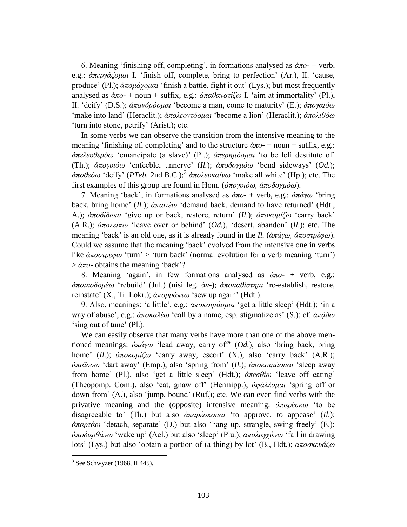6. Meaning 'finishing off, completing', in formations analysed as  $\dot{\alpha}\pi$ <sup>-</sup> + verb, e.g.: *ἀπεξγάδνκαη* I. "finish off, complete, bring to perfection" (Ar.), II. "cause, produce' (Pl.); *ἀπομάγομαι* 'finish a battle, fight it out' (Lys.); but most frequently analysed as  $\dot{\alpha}\pi o$ - + noun + suffix, e.g.:  $\dot{\alpha}\pi a \theta a \nu \alpha \tau i \zeta \omega$  I. 'aim at immortality' (Pl.), II. "deify" (D.S.); *ἀπαλδξόνκαη* "become a man, come to maturity" (E.); *ἀπνγαηόσ* "make into land" (Heraclit.); *ἀπνιενληόνκαη* "become a lion" (Heraclit.); *ἀπνιηζόσ* 'turn into stone, petrify' (Arist.); etc.

In some verbs we can observe the transition from the intensive meaning to the meaning "finishing of, completing" and to the structure *ἀπν*- + noun + suffix, e.g.: *άπελευθερόω* 'emancipate (a slave)' (Pl.); *άπερημόσμαι* 'to be left destitute of' (Th.);  $\dot{a}\pi$ ογυιόω 'enfeeble, unnerve' (*Il.*);  $\dot{a}\pi$ οδοχμόω 'bend sideways' (Od.); *ἀποθεόω* 'deify' (*PTeb.* 2nd B.C.);<sup>3</sup> ἀπολευκαίνω 'make all white' (Hp.); etc. The first examples of this group are found in Hom. (*ἀπνγπηόσ, ἀπνδνρκόσ*).

7. Meaning "back", in formations analysed as *ἀπν*- + verb, e.g.: *ἀπάγσ* "bring back, bring home" (*Il.*); *ἀπαηηέσ* "demand back, demand to have returned" (Hdt., A.);  $\alpha \pi \partial \delta \delta \omega \mu$  'give up or back, restore, return' (*Il.*);  $\alpha \pi \partial \alpha \omega \mu \partial \omega$  'carry back' (A.R.); *ἀπνιείπσ* "leave over or behind" (*Od.*), "desert, abandon" (*Il.*); etc. The meaning "back" is an old one, as it is already found in the *Il.* (*ἀπάγσ, ἀπνζηξέθσ*). Could we assume that the meaning "back" evolved from the intensive one in verbs like *ἀποστρέφω* 'turn' > 'turn back' (normal evolution for a verb meaning 'turn')  $\frac{\partial}{\partial \alpha}$  obtains the meaning 'back'?

8. Meaning "again", in few formations analysed as *ἀπν*- + verb, e.g.: *ἀπνηθνδνκέσ* "rebuild" (Jul.) (nisi leg. ἀλ-); *ἀπνθαζίζηεκη* "re-establish, restore, reinstate' (X., Ti. Lokr.); *ἀπορράπτω* 'sew up again' (Hdt.).

9. Also, meanings: 'a little', e.g.: *ἀποκοιμάομαι* 'get a little sleep' (Hdt.); 'in a way of abuse', e.g.:  $\alpha \pi \alpha \alpha \alpha \beta \omega$  'call by a name, esp. stigmatize as' (S.); cf.  $\alpha \pi \alpha \delta \omega$ 'sing out of tune' (Pl.).

We can easily observe that many verbs have more than one of the above mentioned meanings: *ἀπάγσ* "lead away, carry off" (*Od.*), also "bring back, bring home' (*Il.*);  $\alpha \pi \alpha \nu \mu \zeta \omega$  'carry away, escort' (X.), also 'carry back' (A.R.);  $\alpha \pi \alpha \hat{i} \sigma \sigma \omega$  'dart away' (Emp.), also 'spring from' (*Il.*);  $\alpha \pi \alpha \kappa \omega \mu \alpha \omega \omega \omega a$  'sleep away from home' (Pl.), also 'get a little sleep' (Hdt.);  $\alpha \pi \epsilon \sigma \theta i \omega$  'leave off eating' (Theopomp. Com.), also "eat, gnaw off" (Hermipp.); *ἀθάιινκαη* "spring off or down from" (A.), also "jump, bound" (Ruf.); etc. We can even find verbs with the privative meaning and the (opposite) intensive meaning: *ἀπαρέσκω* 'to be disagreeable to' (Th.) but also *ἀπαρέσκομαι* 'to approve, to appease' (*Il.*); *ἀπαξηάσ* "detach, separate" (D.) but also "hang up, strangle, swing freely" (E.); *ἀπνδαξζάλσ* "wake up" (Ael.) but also "sleep" (Plu.); *ἀπνιαγράλσ* "fail in drawing lots' (Lys.) but also 'obtain a portion of (a thing) by lot' (B., Hdt.);  $\alpha \pi \omega \alpha \kappa \omega \alpha \zeta \omega$ 

<u>.</u>

 $3$  See Schwyzer (1968, II 445).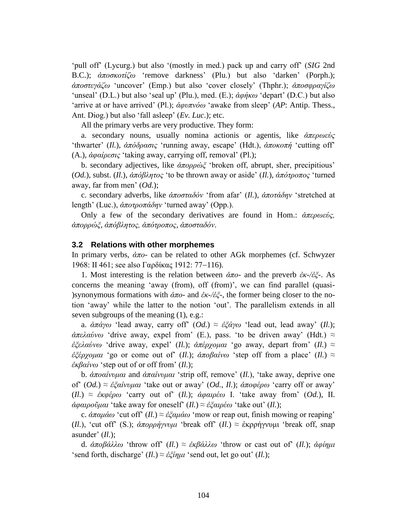"pull off" (Lycurg.) but also "(mostly in med.) pack up and carry off" (*SIG* 2nd B.C.);  $\alpha \pi \circ \sigma \kappa \circ \tau \circ \zeta$  "remove darkness" (Plu.) but also 'darken' (Porph.); *ἀπνζηεγάδσ* "uncover" (Emp.) but also "cover closely" (Thphr.); *ἀπνζθξαγίδσ* "unseal" (D.L.) but also 'seal up' (Plu.), med. (E.);  $\alpha\varphi\eta\kappa\omega$  'depart' (D.C.) but also 'arrive at or have arrived' (Pl.);  $\dot{\alpha}$ *φυπνόω* 'awake from sleep' (*AP*: Antip. Thess., Ant. Diog.) but also "fall asleep" (*Ev. Luc.*); etc.

All the primary verbs are very productive. They form:

a. secondary nouns, usually nomina actionis or agentis, like *ἀπερωεύς* "thwarter" (*Il.*), *ἀπόδξαζηο* "running away, escape" (Hdt.), *ἀπνθνπή* "cutting off" (A.), *ἀθαίξεζηο* "taking away, carrying off, removal" (Pl.);

b. secondary adjectives, like *ἀπορρώξ* 'broken off, abrupt, sher, precipitious' (*Od.*), subst. (*Il.*), *ἀπόβιεηνο* "to be thrown away or aside" (*Il.*), *ἀπόηξνπνο* "turned away, far from men' (*Od.*);

c. secondary adverbs, like  $\alpha \pi \circ \alpha \delta \circ \delta \circ \gamma$  'from afar' (*Il.*),  $\alpha \pi \circ \alpha \delta \circ \gamma \circ \gamma$  'stretched at length' (Luc.),  $\alpha \pi \circ \alpha \pi \alpha \delta n v$  'turned away' (Opp.).

Only a few of the secondary derivatives are found in Hom.: *ἀπεξσεύο,* άπορρώ*ζ, άπόβλητος, άπότροπος, άποσταδόν*.

#### **3.2 Relations with other morphemes**

In primary verbs, *ἀπν*- can be related to other AGk morphemes (cf. Schwyzer 1968: II 461; see also Γαρδίκας 1912: 77-116).

1. Most interesting is the relation between *ἀπν*- and the preverb *ἐθ-/ἐμ*-. As concerns the meaning 'away (from), off (from)', we can find parallel (quasi-)synonymous formations with  $\alpha \pi$ o- and  $\alpha \kappa$ -/ $\alpha \xi$ -, the former being closer to the notion "away" while the latter to the notion "out". The parallelism extends in all seven subgroups of the meaning (1), e.g.:

a.  $\alpha \pi \alpha y \omega$  'lead away, carry off' (*Od.*) ≈  $\epsilon \xi \alpha y \omega$  'lead out, lead away' (*Il.*);  $\alpha \pi \epsilon \lambda \alpha \omega$  'drive away, expel from' (E.), pass. 'to be driven away' (Hdt.)  $\approx$ *ἐζελαύνω* 'drive away, expel' (*Il.*); *ἀπέρχομαι* 'go away, depart from' (*Il.*) ≈ *ἐζέρχομαι* 'go or come out of' (*Il.*); *ἀποβαίνω* 'step off from a place' (*Il.*) ≈ *ἐθβαίλσ* "step out of or off from" (*Il.*);

b. *ἀποαίνυμαι* and *ἀπαίνυμαι* 'strip off, remove' (*Il.*), 'take away, deprive one of" (*Od.*) ≈ *ἐζαίνυμαι* 'take out or away' (*Od., Il.*); *ἀποφέρω* 'carry off or away'  $(H_{\cdot}) \approx \epsilon \kappa \varphi \epsilon \varphi \varphi$  'carry out of'  $(H_{\cdot})$ ; *ἀφαιρ*έ $\varphi$  I. 'take away from'  $(Od_{\cdot})$ , II. *ἀφαιροῦμαι* 'take away for oneself' (*Il.*) ≈ *ἐξαιρέω* 'take out' (*Il.*);

c.  $\alpha \pi \alpha \mu \alpha \omega$  'cut off' (*Il.*)  $\approx \epsilon \xi \alpha \mu \alpha \omega$  'mow or reap out, finish mowing or reaping' (*Il.*), 'cut off' (S.);  $\alpha \pi \omega \rho \gamma \gamma \nu \omega \mu$  'break off' (*Il.*)  $\approx$  ἐκρρήγνυμι 'break off, snap asunder'  $(II.);$ 

d. *ἀπνβάιισ* "throw off" (*Il.*) ≈ *ἐθβάιισ* "throw or cast out of" (*Il.*); *ἀθίεκη* 'send forth, discharge'  $(Il.) \approx \dot{\varepsilon} \xi i \eta \mu i$  'send out, let go out'  $(Il.)$ ;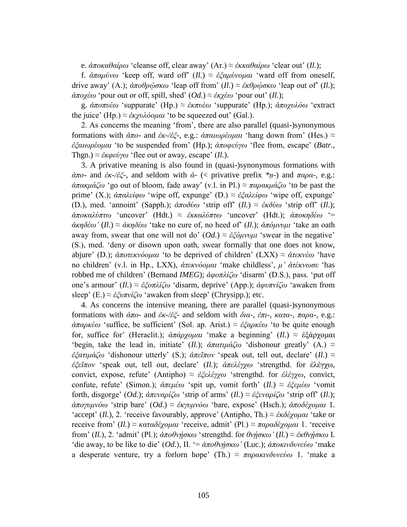e. *ἀποκαθαίρω* 'cleanse off, clear away' (Ar.) ≈ *ἐκκαθαίρω* 'clear out' (*Il.*);

f. *ἀπακύλσ* "keep off, ward off" (*Il.*) ≈ *ἐμακύλνκαη* "ward off from oneself, drive away' (A.);  $\dot{\alpha} \pi \partial \theta \rho \dot{\omega} \sigma \kappa \omega$  'leap off from' (*Il.*) ≈  $\dot{\varepsilon} \kappa \theta \rho \dot{\omega} \sigma \kappa \omega$  'leap out of' (*Il.*);  $\dot{\alpha}$ ποχέω 'pour out or off, spill, shed' (*Od.*) ≈ *ἐκχέω* 'pour out' (*Il.*);

g.  $\alpha \pi \omega \in \alpha$  'suppurate' (Hp.)  $\approx \alpha \epsilon \times \alpha$  'suppurate' (Hp.);  $\alpha \pi \omega \omega \omega \omega$  'extract the juice' (Hp.)  $\approx \frac{\dot{\varepsilon}}{xyv\lambda \omega u}$  to be squeezed out' (Gal.).

2. As concerns the meaning "from", there are also parallel (quasi-)synonymous formations with *ἀπν*- and *ἐθ*-*/ἐμ*-, e.g.: *ἀπαησξένκαη* "hang down from" (Hes.) ≈ *ἐμαησξένκαη* "to be suspended from" (Hp.); *ἀπνθεύγσ* "flee from, escape" (*Batr.*, Thgn.)  $\approx \dot{\varepsilon} \kappa \omega \varepsilon \dot{\omega} \gamma \omega$  'flee out or away, escape' (*Il.*).

3. A privative meaning is also found in (quasi-)synonymous formations with *ἀπο-* and *ἐκ-/ἐζ-*, and seldom with *ἀ-* (< privative prefix *\*n-*) and *παρα-*, e.g.: *ἀπακμάζω* 'go out of bloom, fade away' (v.l. in Pl.) ≈ παρακμάζω 'to be past the prime' (X.); *ἀπαλείφω* 'wipe off, expunge' (D.) ≈ *ἐξαλείφω* 'wipe off, expunge' (D.), med. 'annoint' (Sapph.);  $\alpha \pi \partial \delta \omega$  'strip off' (*Il.*) ≈  $\epsilon \kappa \delta \omega$  'strip off' (*Il.*); *ἀπνθαιύπησ* "uncover" (Hdt.) ≈ *ἐθθαιύπησ* "uncover" (Hdt.); *ἀπνθεδέσ* "= *ἀκηδέω' (Il.)* ≈ *ἀκηδέω* 'take no cure of, no heed of' (Il.); *ἀπόμνυμι* 'take an oath away from, swear that one will not do'  $(Od.) \approx \frac{\partial^2 u}{\partial u \partial y}$  'swear in the negative' (S.), med. "deny or disown upon oath, swear formally that one does not know, abjure" (D.); *ἀπνηεθλόνκαη* "to be deprived of children" (LXX) ≈ *ἀηεθλέσ* "have no children" (v.l. in Hp., LXX), *ἀηεθλόνκαη* "make childless", *κ' ἀηέθλσζε* "has robbed me of children" (Bernand *IMEG*); *ἀθνπιίδσ* "disarm" (D.S.), pass. "put off one"s armour" (*Il.*) ≈ *ἐμνπιίδσ* "disarm, deprive" (App.); *ἀθππλίδσ* "awaken from sleep' (E.)  $\approx \frac{\dot{\epsilon}}{\varepsilon} \frac{\partial \pi v}{\partial \omega}$  'awaken from sleep' (Chrysipp.); etc.

4. As concerns the intensive meaning, there are parallel (quasi-)synonymous formations with *ἀπν*- and *ἐθ*-*/ἐμ*- and seldom with *δηα*-, *ἐπη-, θαηα-, παξα*-, e.g.: *ἀπαξθέσ* "suffice, be sufficient" (Sol. ap. Arist.) ≈ *ἐμαξθέσ* "to be quite enough for, suffice for' (Heraclit.); *ἀπάρχομαι* 'make a beginning' (*Il.*) ≈ ἐξάρχομαι 'begin, take the lead in, initiate' (*Il.*);  $\dot{a}\pi a\tau\mu\dot{a}\zeta\omega$  'dishonour greatly' (A.)  $\approx$ *ἐμαηηκάδσ* "dishonour utterly" (S.); *ἀπεῖπνλ* "speak out, tell out, declare" (*Il.*) ≈ *ἐμεῖπνλ* "speak out, tell out, declare" (*Il.*); *ἀπειέγρσ* "strengthd. for ἐιέγρω, convict, expose, refute" (Antipho) ≈ *ἐμειέγρσ* "strengthd. for *ἐιέγρσ*, convict, confute, refute" (Simon.); *ἀπεκέσ* "spit up, vomit forth" (*Il.*) ≈ *ἐμεκέσ* "vomit forth, disgorge' (*Od.*);  $\alpha \pi$ εναρίζω 'strip of arms' (*Il.*) ≈ *ἐξεναρίζω* 'strip off' (*Il.*); *ἀπογυμνόω* 'strip bare' (*Od.*) ≈ *ἐκγυμνόω* 'bare, expose' (Hsch.); *ἀποδέχομαι* 1. "accept" (*Il.*), 2. "receive favourably, approve" (Antipho, Th.) ≈ *ἐκδέχομαι* "take or receive from' (*Il.*) ≈ *καταδέγομαι* 'receive, admit' (Pl.) ≈ παραδέγομαι 1. 'receive from' (*Il.*), 2. 'admit' (Pl.); *ἀποθνήσκω* 'strengthd. for *θνήσκω'* (*Il.*) ≈ *ἐκθνήσκω* I. "die away, to be like to die" (*Od.*), II. "= *ἀποθνήσκω*" (Luc.); *ἀποκινδυνεύω* "make" a desperate venture, try a forlorn hope' (Th.)  $\approx \pi \alpha \rho \alpha \kappa \nu \delta \nu \kappa \delta \omega$  1. 'make a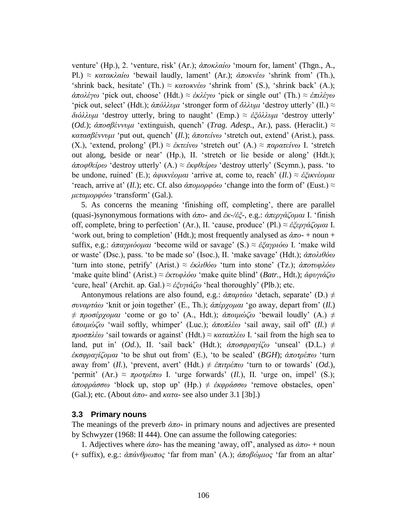venture" (Hp.), 2. "venture, risk" (Ar.); *ἀπνθιαίσ* "mourn for, lament" (Thgn., A., Pl.) ≈ *κατακλαίω* 'bewail laudly, lament' (Ar.); *ἀποκνέω* 'shrink from' (Th.), 'shrink back, hesitate' (Th.)  $\approx \kappa \alpha \tau \omega \kappa \kappa \omega$  'shrink from' (S.), 'shrink back' (A.); *ἀπολέγω* 'pick out, choose' (Hdt.) ≈ *ἐκλέγω* 'pick or single out' (Th.) ≈ *ἐπιλέγω* "pick out, select" (Hdt.);  $\dot{\alpha}\pi\dot{\alpha}\lambda\lambda v\mu t$  "stronger form of  $\ddot{\alpha}\lambda\lambda v\mu t$  "destroy utterly" (Il.)  $\approx$ *διόλλυμι* 'destroy utterly, bring to naught' (Emp.) ≈ *ἐξόλλυμι* 'destroy utterly' (*Od.*);  $\alpha \pi$ οσβέννυμι 'extinguish, quench' (*Trag. Adesp.*, Ar.), pass. (Heraclit.) ≈ *θαηαζβέλλπκη* "put out, quench" (*Il.*); *ἀπνηείλσ* "stretch out, extend" (Arist.), pass. (X.), "extend, prolong" (Pl.)  $\approx \epsilon \kappa \tau \epsilon i \nu \omega$  'stretch out' (A.)  $\approx \pi \omega \alpha \tau \epsilon i \nu \omega$  I. 'stretch out along, beside or near" (Hp.), II. "stretch or lie beside or along" (Hdt.); *άποφθείρω* 'destroy utterly' (A.) ≈ *ἐκφθείρω* 'destroy utterly' (Scymn.), pass. 'to be undone, ruined' (E.); *ἀφικνέομαι* 'arrive at, come to, reach' (*Il.*) ≈ *ἐξικνέομαι '*reach, arrive at' (*Il.*); etc. Cf. also *ἀποιιορφόω 'change into the form of'* (Eust.)  $\approx$ *κεηακνξθόσ* "transform" (Gal.).

5. As concerns the meaning "finishing off, completing", there are parallel (quasi-)synonymous formations with *ἀπν*- and *ἐθ-/ἐμ*-, e.g.: *ἀπεξγάδνκαη* I. "finish off, complete, bring to perfection' (Ar.), II. 'cause, produce' (Pl.) ≈ *ἐξεργάζομαι* I. "work out, bring to completion" (Hdt.); most frequently analysed as  $\dot{\alpha}\pi o$ - + noun + suffix, e.g.: *ἀπαγριόομαι* 'become wild or savage' (S.) ≈ *ἐξαγριόω* I. 'make wild or waste" (Dsc.), pass. "to be made so" (Isoc.), II. "make savage" (Hdt.); *ἀπνιηζόσ* 'turn into stone, petrify' (Arist.)  $\approx \dot{\varepsilon} \kappa \lambda \iota \theta \dot{\varepsilon} \omega$  'turn into stone' (Tz.);  $\dot{\alpha} \pi \sigma \tau \nu \varphi \lambda \dot{\varepsilon} \omega$ "make quite blind" (Arist.) ≈ *ἐθηπθιόσ* "make quite blind" (*Batr.*, Hdt.); *ἀθπγηάδσ* 'cure, heal' (Archit. ap. Gal.)  $\approx \frac{\partial^2 u}{\partial x \partial y}$  'heal thoroughly' (Plb.); etc.

Antonymous relations are also found, e.g.:  $\alpha \pi \alpha \beta \alpha \alpha'$  detach, separate' (D.)  $\neq$ *ζπλαξηάσ* "knit or join together" (E., Th.); *ἀπέξρνκαη* "go away, depart from" (*Il.*)  $\neq \pi \rho \sigma \varepsilon \varepsilon \rho \chi \rho \mu \alpha \iota$  'come or go to' (A., Hdt.);  $\alpha \pi \sigma \mu \omega \zeta \omega$  'bewail loudly' (A.)  $\neq$ *ὑποιμώζω* 'wail softly, whimper' (Luc.); *ἀποπλέω* 'sail away, sail off' (*Il.*)  $\neq$ *προσπλέω* 'sail towards or against' (Hdt.) ≈ *καταπλέω* I. 'sail from the high sea to land, put in' (*Od.*), II. 'sail back' (Hdt.);  $\alpha \pi o \sigma \varphi \rho \alpha \varphi \zeta \omega$  'unseal' (D.L.)  $\neq$ *ἐκσφραγίζομαι* 'to be shut out from' (E.), 'to be sealed' (*BGH*); *ἀποτρέπω* 'turn away from' (*Il.*), 'prevent, avert' (Hdt.)  $\neq \epsilon \pi \pi \rho \epsilon \pi \omega$  'turn to or towards' (*Od.*), "permit" (Ar.)  $\approx \pi \rho \sigma \tau \rho \epsilon \pi \omega$  I. "urge forwards" (*Il.*), II. "urge on, impel" (S.);  $$ (Gal.); etc. (About  $\dot{\alpha}\pi o$ - and  $\kappa \alpha \tau \alpha$ - see also under 3.1 [3b].)

#### **3.3 Primary nouns**

The meanings of the preverb *ἀπν*- in primary nouns and adjectives are presented by Schwyzer (1968: II 444). One can assume the following categories:

1. Adjectives where  $\dot{\alpha}\pi o$ - has the meaning 'away, off', analysed as  $\dot{\alpha}\pi o$ - + noun (+ suffix), e.g.: *ἀπάλζξσπνο* "far from man" (A.); *ἀπνβώκηνο* "far from an altar"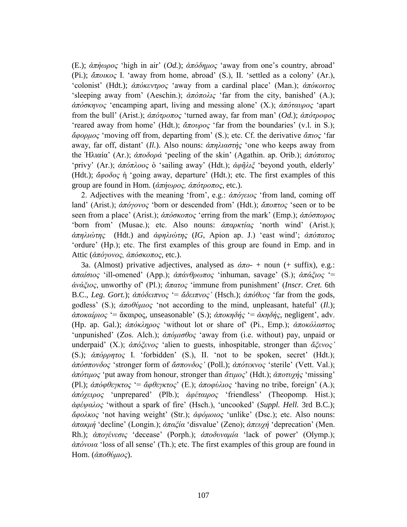(E.); *ἀπήσξνο* "high in air" (*Od.*); *ἀπόδεκνο* "away from one"s country, abroad" (Pi.); *ἄπνηθνο* I. "away from home, abroad" (S.), II. "settled as a colony" (Ar.), "colonist" (Hdt.); *ἀπόκεντρος* "away from a cardinal place" (Man.); *ἀπόκοιτος* "sleeping away from" (Aeschin.);  $\alpha \pi \partial \alpha \partial \alpha$  "far from the city, banished" (A.); *ἀπόζθελνο* "encamping apart, living and messing alone" (X.); *ἀπόηαπξνο* "apart from the bull" (Arist.); *ἀπόηξνπνο* "turned away, far from man" (*Od.*); *ἀπόηξνθνο* "reared away from home" (Hdt.);  $\alpha \pi \frac{\partial \rho}{\partial \zeta}$  "far from the boundaries" (v.l. in S.); *ἄθνξκνο* "moving off from, departing from" (S.); etc. Cf. the derivative *ἄπηνο* "far away, far off, distant" (*Il.*). Also nouns: *ἀπειηαζηήο* "one who keeps away from the Ἡιηαία" (Ar.); *ἀπνδνξά* "peeling of the skin" (Agathin. ap. Orib.); *ἀπόπαηνο* 'privy' (Ar.);  $\alpha \pi \delta \pi \lambda o \circ \delta$  'sailing away' (Hdt.);  $\alpha \varphi \tilde{\eta} \lambda \tilde{\zeta}$  'beyond youth, elderly' (Hdt.); *ἄθνδνο* ἡ "going away, departure" (Hdt.); etc. The first examples of this group are found in Hom. (*ἀπήσξνο, ἀπόηξνπνο*, etc.).

2. Adjectives with the meaning "from", e.g.: *ἀπόγεηνο* "from land, coming off land' (Arist.); *ἀπόγονος* 'born or descended from' (Hdt.); *ἄποπτος* 'seen or to be seen from a place' (Arist.); *ἀπόσκοπος* 'erring from the mark' (Emp.); *ἀπόσπορος* "born from" (Musae.); etc. Also nouns: *ἀπαρκτίας* 'north wind' (Arist.); *ἀπειηώηεο* (Hdt.) and *ἀθειηώηεο* (*IG*, Apion ap. J.) "east wind"; *ἀπόπαηνο* "ordure" (Hp.); etc. The first examples of this group are found in Emp. and in Attic (*άπόγονος, άπόσκοπος*, etc.).

3a. (Almost) privative adjectives, analysed as  $\dot{\alpha}\pi o$ - + noun (+ suffix), e.g.: *ἀπαίζηνο* "ill-omened" (App.); *ἀπάλζξσπνο* "inhuman, savage" (S.); *ἀπάμηνο* "= *ἀλάμηνο*, unworthy of" (Pl.); *ἄπαηνο* "immune from punishment" (*Inscr. Cret.* 6th B.C., *Leg. Gort.*);  $\alpha \pi \delta \delta \epsilon \pi \nu o \varsigma$  '=  $\alpha \delta \epsilon \nu \pi \nu o \varsigma$ ' (Hsch.);  $\alpha \pi \delta \theta \epsilon o \varsigma$  'far from the gods, godless' (S.);  $\alpha \pi \partial \theta \psi \mu \nu \phi$ ; 'not according to the mind, unpleasant, hateful' (*Il.*); *ἀποκαίριος* '= ἄκαιρος, unseasonable' (S.); *ἀποκηδής* '= *ἀκηδής*, negligent', adv. (Hp. ap. Gal.);  $\hat{\alpha}$ πόκληρος 'without lot or share of' (Pi., Emp.);  $\hat{\alpha}$ ποκόλαστος "unpunished" (Zos. Alch.);  $\alpha \pi \omega \omega \sigma \theta o \varsigma$  "away from (i.e. without) pay, unpaid or underpaid' (X.);  $\alpha \pi \delta \xi \epsilon \nu o \varsigma$  'alien to guests, inhospitable, stronger than  $\alpha \xi \epsilon \nu o \varsigma'$ ' (S.);  $\alpha \pi \phi \rho \eta \tau o \varsigma$  I. 'forbidden' (S.), II. 'not to be spoken, secret' (Hdt.);  $\alpha \pi \phi \sigma \pi \sigma \nu \delta \sigma \varsigma$  'stronger form of  $\alpha \sigma \pi \sigma \nu \delta \sigma \varsigma$ ' (Poll.);  $\alpha \pi \sigma \tau \epsilon \kappa \nu \sigma \varsigma$  'sterile' (Vett. Val.); *ἀπόηηκνο* "put away from honour, stronger than *ἄηηκνο*" (Hdt.); *ἀπνηπρήο* "missing" (Pl.); *ἀπόφθεγκτος* '= *ἄφθεγκτος*' (E.); *ἀποφύλιος* 'having no tribe, foreign' (A.); *ἀπόρεηξνο* "unprepared" (Plb.); *ἀθέηαηξνο* "friendless" (Theopomp. Hist.); *ἀθέςαινο* "without a spark of fire" (Hsch.), "uncooked" (*Suppl. Hell.* 3rd B.C.); *ἄθνιθνο* "not having weight" (Str.); *ἀθόκνηνο* "unlike" (Dsc.); etc. Also nouns: *ἀπακμή* 'decline' (Longin.); *ἀπαξία* 'disvalue' (Zeno); *ἀπευγή* 'deprecation' (Men. Rh.); *ἀπογένεσις* 'decease' (Porph.); *ἀποδυναμία* 'lack of power' (Olymp.); *ἀπόλνηα* "loss of all sense" (Th.); etc. The first examples of this group are found in Hom. (άποθύμιος).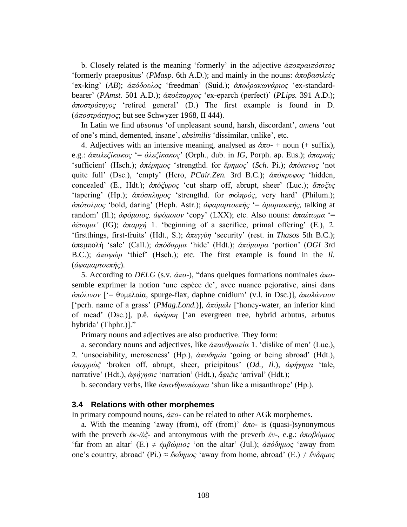b. Closely related is the meaning 'formerly' in the adjective *άποπραιπόσιτος* "formerly praepositus" (*PMasp.* 6th A.D.); and mainly in the nouns: *ἀπνβαζηιεύο* "ex-king" (*AB*); *ἀπόδνπινο* "freedman" (Suid.); *ἀπνδξαθσλάξηνο* "ex-standardbearer' (*PAmst.* 501 A.D.);  $\alpha \pi \alpha \beta \gamma \alpha \zeta$  'ex-eparch (perfect)' (*PLips.* 391 A.D.); *ἀπνζηξάηεγνο* "retired general" (D.) The first example is found in D. (*ἀπνζηξάηεγνο*; but see Schwyzer 1968, II 444).

In Latin we find *absonus* "of unpleasant sound, harsh, discordant", *amens* "out of one"s mind, demented, insane", *absimilis* "dissimilar, unlike", etc.

4. Adjectives with an intensive meaning, analysed as  $\dot{\alpha}\pi$ <sup>-</sup> + noun (+ suffix), e.g.: *ἀπαλεξίκακος '= ἀλεξίκακος'* (Orph., dub. in *IG*, Porph. ap. Eus.); *ἀπαρκής* 'sufficient' (Hsch.);  $\alpha \pi \epsilon \rho \eta \mu o \varsigma$  'strengthd. for  $\epsilon \rho \eta \mu o \varsigma$ ' (*Sch. Pi.);*  $\alpha \pi \delta \kappa \epsilon \nu o \varsigma$  *'not* quite full' (Dsc.), 'empty' (Hero, *PCair.Zen.* 3rd B.C.);  $\alpha \pi \delta \kappa \rho \nu \varphi$ ος 'hidden, concealed' (E., Hdt.); *ἀπόξυρος* 'cut sharp off, abrupt, sheer' (Luc.); *ἄποξυς* "tapering" (Hp.);  $\frac{\partial \pi}{\partial \sigma \kappa \lambda \eta \rho o \varsigma}$  'strengthd. for  $\frac{\partial \kappa \lambda \eta \rho o \varsigma}{\partial \varsigma}$ , very hard' (Philum.); *ἀπόηνικνο* "bold, daring" (Heph. Astr.); *ἀθακαξηνεπήο* "= *ἁκαξηνεπήο*, talking at random" (Il.); *ἀθόκνηνο, ἀθόκνηνλ* "copy" (LXX); etc. Also nouns: *ἀπαέησκα* "= *ἀέησκα'* (IG); *ἀπαξρή* 1. "beginning of a sacrifice, primal offering" (E.), 2. "firstthings, first-fruits" (Hdt., S.);  $\alpha \pi$ εγγύη "security" (rest. in *Thasos* 5th B.C.); ἀπεκπνιή "sale" (Call.); *ἀπόδαξκα* "hide" (Hdt.); *ἀπόκνηξα* "portion" (*OGI* 3rd B.C.);  $\alpha \pi \circ \omega \circ \omega$  'thief' (Hsch.); etc. The first example is found in the *Il.* (*άφαμαρτοεπής*).

5. According to *DELG* (s.v. *ἀπν*-), "dans quelques formations nominales *ἀπν*semble exprimer la notion "une espèce de", avec nuance pejorative, ainsi dans *ἀπόιηλνλ* ["= ζπκειαία, spurge-flax, daphne cnidium" (v.l. in Dsc.)], *ἀπνιάληηνλ* ['perh. name of a grass' (*PMag.Lond.*)],  $\alpha \pi \omega \omega \omega l$  ['honey-water, an inferior kind of mead' (Dsc.)], p.ê. *ἀφάρκη* ['an evergreen tree, hybrid arbutus, arbutus hybrida" (Thphr.)]."

Primary nouns and adjectives are also productive. They form:

a. secondary nouns and adjectives, like  $\alpha \pi \alpha \nu \theta \rho \omega \pi i \alpha$  1. 'dislike of men' (Luc.), 2. 'unsociability, meroseness' (Hp.),  $\alpha \pi \partial \partial \eta \mu i \alpha$  'going or being abroad' (Hdt.), *ἀπορρώξ* 'broken off, abrupt, sheer, pricipitous' (*Od.*, *Il.*), *ἀφήγημα* 'tale, narrative' (Hdt.), *ἀφήγησις* 'narration' (Hdt.), *ἄφιξις* 'arrival' (Hdt.);

b. secondary verbs, like *ἀπαλζξσπένκαη* "shun like a misanthrope" (Hp.).

### **3.4 Relations with other morphemes**

In primary compound nouns, *ἀπν*- can be related to other AGk morphemes.

a. With the meaning "away (from), off (from)" *ἀπν*- is (quasi-)synonymous with the preverb *ἐκ-/ἐξ*- and antonymous with the preverb *ἐν*-, e.g.: *ἀποβώμιος* 'far from an altar' (E.)  $\neq \frac{\partial \mu}{\partial u}$  / $\frac{\partial \mu}{\partial v}$  (Jul.);  $\frac{\partial \mu}{\partial v}$   $\frac{\partial \mu}{\partial v}$  away from one's country, abroad' (Pi.)  $\approx \check{\varepsilon} \kappa \delta \eta \mu o \varsigma$  'away from home, abroad' (E.)  $\neq \check{\varepsilon} \nu \delta \eta \mu o \varsigma$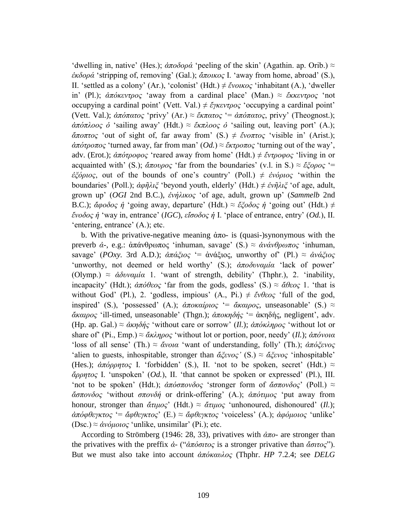$\alpha$  'dwelling in, native' (Hes.); *ἀποδορά* 'peeling of the skin' (Agathin. ap. Orib.)  $\approx$ *ἐκδορά* 'stripping of, removing' (Gal.); *ἄποικος* I. 'away from home, abroad' (S.), II. 'settled as a colony' (Ar.), 'colonist' (Hdt.)  $\neq \xi$ νοικος 'inhabitant (A.), 'dweller in' (Pl.); *ἀπόκεντρος* 'away from a cardinal place' (Man.) ≈ *ἔκκεντρος* 'not occupying a cardinal point' (Vett. Val.)  $\neq \xi$ *γκεντρος* 'occupying a cardinal point' (Vett. Val.);  $\dot{\alpha}\pi\dot{\alpha}\pi\alpha\tau$ *ος* 'privy' (Ar.)  $\approx \ddot{\varepsilon}\kappa\pi\alpha\tau\alpha\varsigma$  '=  $\dot{\alpha}\pi\dot{\alpha}\pi\alpha\tau$ *ος*, privy' (Theognost.);  $\alpha \pi \delta \pi \lambda \cos \phi$  'sailing away' (Hdt.)  $\approx \epsilon \kappa \pi \lambda \cos \phi$  'sailing out, leaving port' (A.); *ἄπνπηνο* "out of sight of, far away from" (S.) ≠ *ἔλνπηνο* "visible in" (Arist.);  $\phi \phi \phi \to \phi \phi$  "turned away, far from man" (*Od.*) ≈  $\phi \phi \to \phi \phi$  "turning out of the way", adv. (Erot.); *ἀπόηξνθνο* "reared away from home" (Hdt.) ≠ *ἔληξνθνο* "living in or acquainted with' (S.);  $\alpha \pi \omega \rho \omega \varsigma$  'far from the boundaries' (v.l. in S.)  $\approx \epsilon \zeta \rho \rho \omega \varsigma$  '= *ἐξόριος*, out of the bounds of one's country' (Poll.)  $\neq$  *ἐνόριος* 'within the boundaries' (Poll.); *ἀφῆλιξ* 'beyond youth, elderly' (Hdt.) ≠ *ἐνῆλιξ* 'of age, adult, grown up" (*OGI* 2nd B.C.), *ἐλήιηθνο* "of age, adult, grown up" (*Sammelb* 2nd B.C.);  $\check{\alpha}$ φοδος *ή* 'going away, departure' (Hdt.) ≈  $\check{\varepsilon}$ '*ζοδος ή* 'going out' (Hdt.) ≠ *ἔλνδνο ἡ* "way in, entrance" (*IGC*), *εἴζνδνο ἡ* Ι. "place of entrance, entry" (*Od.*), ΙΙ. 'entering, entrance' (A.); etc.

b. With the privative-negative meaning  $\dot{\alpha}\pi$  - is (quasi-)synonymous with the preverb *ά*-, e.g.: ἀπάνθρωπος 'inhuman, savage' (S.) ≈ *ἀνάνθρωπος* 'inhuman, savage<sup>'</sup> (*POxy.* 3rd A.D.);  $\frac{\partial \pi \partial \xi}{\partial \varphi} = \frac{\partial \psi}{\partial \varphi}$  unworthy of (Pl.)  $\approx \frac{\partial \psi}{\partial \varphi}$ "unworthy, not deemed or held worthy" (S.); *ἀποδυναμία* "lack of power" (Olymp.)  $\approx \dot{\alpha}\delta v \alpha \mu i \alpha$  1. 'want of strength, debility' (Thphr.), 2. 'inability, incapacity' (Hdt.);  $\dot{\alpha}\pi\dot{\alpha}\theta\epsilon o\varsigma$  'far from the gods, godless' (S.)  $\approx \dot{\alpha}\theta\epsilon o\varsigma$  1. 'that is without God' (Pl.), 2. 'godless, impious'  $(A_1, P_1) \neq \ell \forall \theta \in \mathcal{C}$  'full of the god, inspired' (S.), 'possessed' (A.);  $\hat{\alpha} \pi \in \hat{\alpha} \times \hat{\alpha} \times \hat{\beta}$ , unseasonable' (S.)  $\approx$ *ἄκαιρος* 'ill-timed, unseasonable' (Thgn.); *ἀποκηδής* '= ἀκηδής, negligent', adv. (Hp. ap. Gal.)  $\approx \frac{\dot{\alpha}}{\kappa \eta \delta \eta \zeta}$  'without care or sorrow' *(Il.)*;  $\frac{\dot{\alpha}}{\kappa \delta \kappa \lambda \eta \rho o \zeta}$  'without lot or share of" (Pi., Emp.) ≈ *ἄθιεξνο* "without lot or portion, poor, needy" (*Il.*); *ἀπόλνηα* "loss of all sense" (Th.) ≈ *ἄνοια* "want of understanding, folly" (Th.); *ἀπόξενος* 'alien to guests, inhospitable, stronger than  $\tilde{\alpha} \xi \tilde{\epsilon} \nu o \zeta'$  (S.)  $\approx \tilde{\alpha} \xi \tilde{\epsilon} \nu o \zeta'$  'inhospitable' (Hes.);  $\alpha \pi \omega \rho \rho \eta \tau \omega \zeta$  I. 'forbidden' (S.), II. 'not to be spoken, secret' (Hdt.)  $\approx$ *ἄξξεηνο* I. "unspoken" (*Od.*), II. "that cannot be spoken or expressed" (Pl.), III. 'not to be spoken' (Hdt.);  $\dot{\alpha}\pi\dot{\alpha}\sigma\pi\dot{\alpha}\dot{\alpha}\sigma\zeta$  'stronger form of  $\ddot{\alpha}\sigma\pi\dot{\alpha}\dot{\alpha}\dot{\alpha}\zeta$ ' (Poll.)  $\approx$ *ἄζπνλδνο* "without *ζπνλδή* or drink-offering" (A.); *ἀπόηηκνο* "put away from honour, stronger than *ἄηηκνο*" (Hdt.) ≈ *ἄηηκνο* "unhonoured, dishonoured" (*Il.*); *άπόφθεγκτος* '= *ἄφθεγκτος*' (E.) ≈ *ἄφθεγκτος* 'voiceless' (A.); *ἀφόμοιος* 'unlike' (Dsc.)  $\approx \dot{\alpha}$ *νόμοιος* 'unlike, unsimilar' (Pi.); etc.

According to Strömberg (1946: 28, 33), privatives with *ἀπν*- are stronger than the privatives with the preffix  $\dot{\alpha}$ - (" $\dot{\alpha}\pi\dot{\alpha}\sigma\tau\dot{\alpha}$ ") is a stronger privative than  $\ddot{\alpha}\sigma\tau\dot{\alpha}$ "). But we must also take into account *ἀπόθαπινο* (Thphr. *HP* 7.2.4; see *DELG*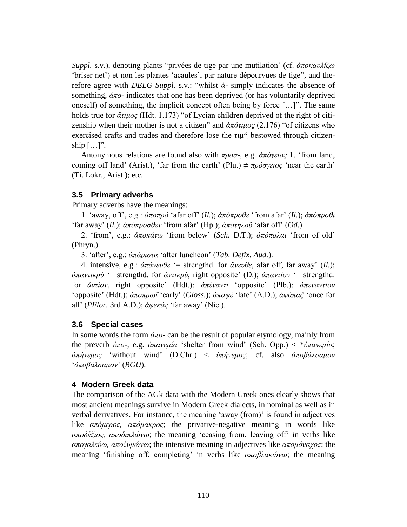*Suppl.* s.v.), denoting plants "privées de tige par une mutilation' (cf. *ἀποκαυλίζω* "briser net") et non les plantes "acaules", par nature dépourvues de tige", and therefore agree with *DELG Suppl.* s.v.: "whilst *ἀ*- simply indicates the absence of something,  $\dot{\alpha}\pi$ <sup>-</sup> indicates that one has been deprived (or has voluntarily deprived oneself) of something, the implicit concept often being by force […]". The same holds true for *ἄηηκνο* (Hdt. 1.173) "of Lycian children deprived of the right of citizenship when their mother is not a citizen" and  $\alpha \pi \delta \tau \mu \nu o \varsigma$  (2.176) "of citizens who exercised crafts and trades and therefore lose the  $\tau$ <sub>ll</sub> pestowed through citizenship  $[\ldots]$ ".

Antonymous relations are found also with *πξνζ*-, e.g. *ἀπόγεηνο* 1. "from land, coming off land' (Arist.), 'far from the earth' (Plu.)  $\neq \pi \rho \acute{o} \sigma$ *γειος* 'near the earth' (Ti. Lokr., Arist.); etc.

# **3.5 Primary adverbs**

Primary adverbs have the meanings:

1. "away, off", e.g.: *ἀπνπξό* "afar off" (*Il.*); *ἀπόπξνζε* "from afar" (*Il.*); *ἀπόπξνζη* "far away" (*Il.*);  $\dot{\alpha}\pi\dot{\alpha}\pi\rho\dot{\alpha}\theta\epsilon$ ν 'from afar' (Hp.);  $\dot{\alpha}\pi\dot{\alpha}\pi\rho\dot{\alpha}\dot{\alpha}$  'afar off" (*Od.*).

2. "from", e.g.: *ἀπνθάησ* "from below" (*Sch.* D.T.); *ἀπόπαιαη* "from of old" (Phryn.).

3. "after", e.g.: *ἀπάξηζηα* "after luncheon" (*Tab. Defix. Aud.*).

4. intensive, e.g.:  $\dot{\alpha}\pi\dot{\alpha}\nu\varepsilon\dot{\alpha}\theta\varepsilon$  '= strengthd. for  $\ddot{\alpha}\nu\varepsilon\dot{\alpha}\theta\varepsilon$ , afar off, far away' (*Il.*);  *for*  $*αντικρύ*$ *, right opposite' (D.);*  $*λπαντίον* = strengthd.$ for *ἀληίνλ*, right opposite" (Hdt.); *ἀπέλαληη* "opposite" (Plb.); *ἀπελαληίνλ* "opposite" (Hdt.);  $\alpha \pi \partial \nu \partial \nu$ <sup>"</sup> early" (*Gloss.*);  $\alpha \pi \partial \nu \partial \nu \partial \nu$  "late" (A.D.);  $\alpha \varphi \alpha \pi \alpha \zeta$ " once for all' (*PFlor.* 3rd A.D.);  $\alpha \varphi \in \alpha \alpha \varsigma$  'far away' (Nic.).

# **3.6 Special cases**

In some words the form *ἀπν*- can be the result of popular etymology, mainly from the preverb *ὑπν*-, e.g. *ἀπαλεκία* "shelter from wind" (Sch. Opp.) < \**ὑπαλεκία*; *ἀπήνεμος* 'without wind' (D.Chr.) < *ὑπήνεμος*; cf. also *ἀποβάλσαμον* "*ὀπνβάιζακνλ'* (*BGU*).

# **4 Modern Greek data**

The comparison of the AGk data with the Modern Greek ones clearly shows that most ancient meanings survive in Modern Greek dialects, in nominal as well as in verbal derivatives. For instance, the meaning "away (from)" is found in adjectives like *απόμερος, απόμακρος*; the privative-negative meaning in words like *απνδέμηνο, απνδηπιώλσ*; the meaning "ceasing from, leaving off" in verbs like *απνγαιεύσ, απνδπκώλσ*; the intensive meaning in adjectives like *απνκόλαρνο*; the meaning 'finishing off, completing' in verbs like *αποβλακώνω*; the meaning